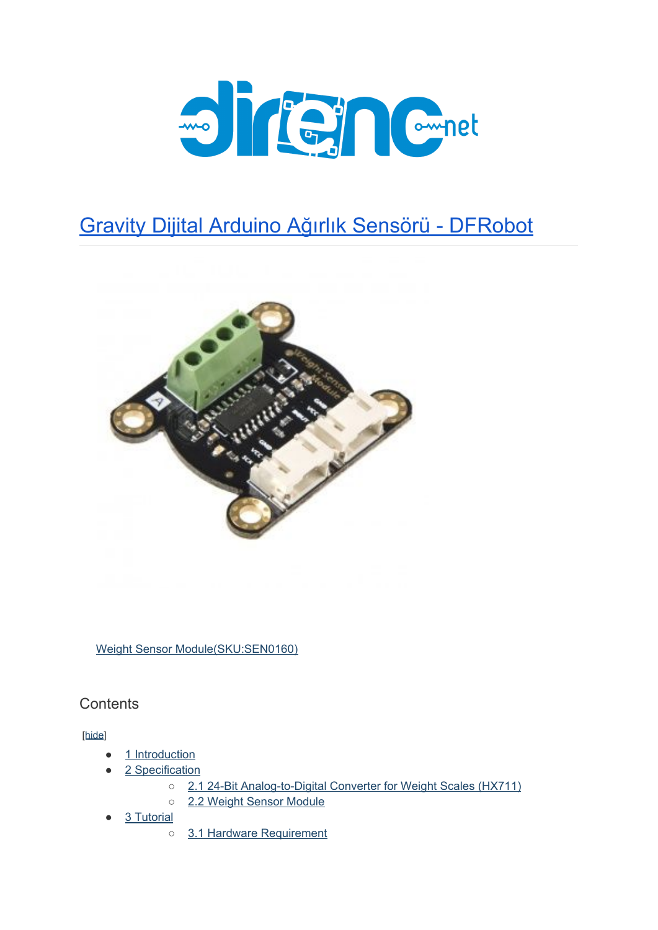

### Gravity Dijital Arduino Ağırlık Sensörü - [DFRobot](https://www.direnc.net/dijital-arduino-agirlik-sensoru-1kg)



[Weight Sensor Module\(SKU:SEN0160\)](https://www.dfrobot.com/product-1031.html)

**Contents** 

[\[hide](https://www.dfrobot.com/wiki/index.php/Weight_Sensor_Module_SKU:SEN0160#)]

- [1 Introduction](https://www.dfrobot.com/wiki/index.php/Weight_Sensor_Module_SKU:SEN0160#Introduction)
- [2 Specification](https://www.dfrobot.com/wiki/index.php/Weight_Sensor_Module_SKU:SEN0160#Specification)
	- o [2.1 24-Bit Analog-to-Digital Converter for Weight Scales \(HX711\)](https://www.dfrobot.com/wiki/index.php/Weight_Sensor_Module_SKU:SEN0160#24-Bit_Analog-to-Digital_Converter_for_Weight_Scales_.28HX711.29)
	- o [2.2 Weight Sensor Module](https://www.dfrobot.com/wiki/index.php/Weight_Sensor_Module_SKU:SEN0160#Weight_Sensor_Module)
- [3 Tutorial](https://www.dfrobot.com/wiki/index.php/Weight_Sensor_Module_SKU:SEN0160#Tutorial)
	- [3.1 Hardware Requirement](https://www.dfrobot.com/wiki/index.php/Weight_Sensor_Module_SKU:SEN0160#Hardware_Requirement)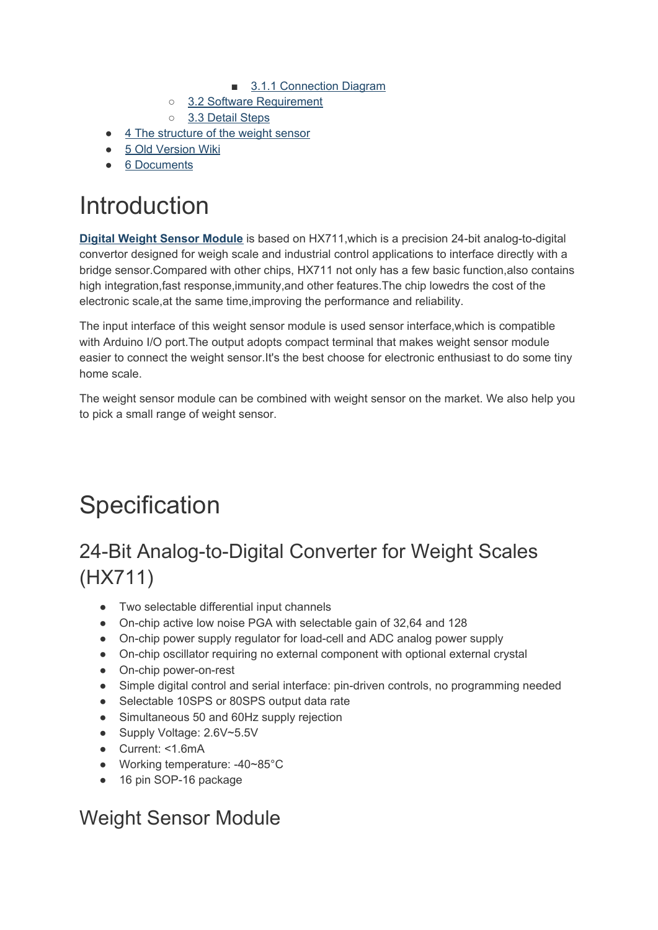- [3.1.1 Connection Diagram](https://www.dfrobot.com/wiki/index.php/Weight_Sensor_Module_SKU:SEN0160#Connection_Diagram)
- o [3.2 Software Requirement](https://www.dfrobot.com/wiki/index.php/Weight_Sensor_Module_SKU:SEN0160#Software_Requirement)
- [3.3 Detail Steps](https://www.dfrobot.com/wiki/index.php/Weight_Sensor_Module_SKU:SEN0160#Detail_Steps)
- [4 The structure of the weight sensor](https://www.dfrobot.com/wiki/index.php/Weight_Sensor_Module_SKU:SEN0160#The_structure_of_the_weight_sensor)
- [5 Old Version Wiki](https://www.dfrobot.com/wiki/index.php/Weight_Sensor_Module_SKU:SEN0160#Old_Version_Wiki)
- [6 Documents](https://www.dfrobot.com/wiki/index.php/Weight_Sensor_Module_SKU:SEN0160#Documents)

# Introduction

**[Digital Weight Sensor Module](https://www.dfrobot.com/product-1031.html)** is based on HX711,which is a precision 24-bit analog-to-digital convertor designed for weigh scale and industrial control applications to interface directly with a bridge sensor.Compared with other chips, HX711 not only has a few basic function,also contains high integration,fast response,immunity,and other features.The chip lowedrs the cost of the electronic scale,at the same time,improving the performance and reliability.

The input interface of this weight sensor module is used sensor interface,which is compatible with Arduino I/O port.The output adopts compact terminal that makes weight sensor module easier to connect the weight sensor.It's the best choose for electronic enthusiast to do some tiny home scale.

The weight sensor module can be combined with weight sensor on the market. We also help you to pick a small range of weight sensor.

# **Specification**

## 24-Bit Analog-to-Digital Converter for Weight Scales (HX711)

- Two selectable differential input channels
- On-chip active low noise PGA with selectable gain of 32,64 and 128
- On-chip power supply regulator for load-cell and ADC analog power supply
- On-chip oscillator requiring no external component with optional external crystal
- On-chip power-on-rest
- Simple digital control and serial interface: pin-driven controls, no programming needed
- Selectable 10SPS or 80SPS output data rate
- Simultaneous 50 and 60Hz supply rejection
- Supply Voltage: 2.6V~5.5V
- Current: <1.6mA
- Working temperature: -40~85°C
- 16 pin SOP-16 package

### Weight Sensor Module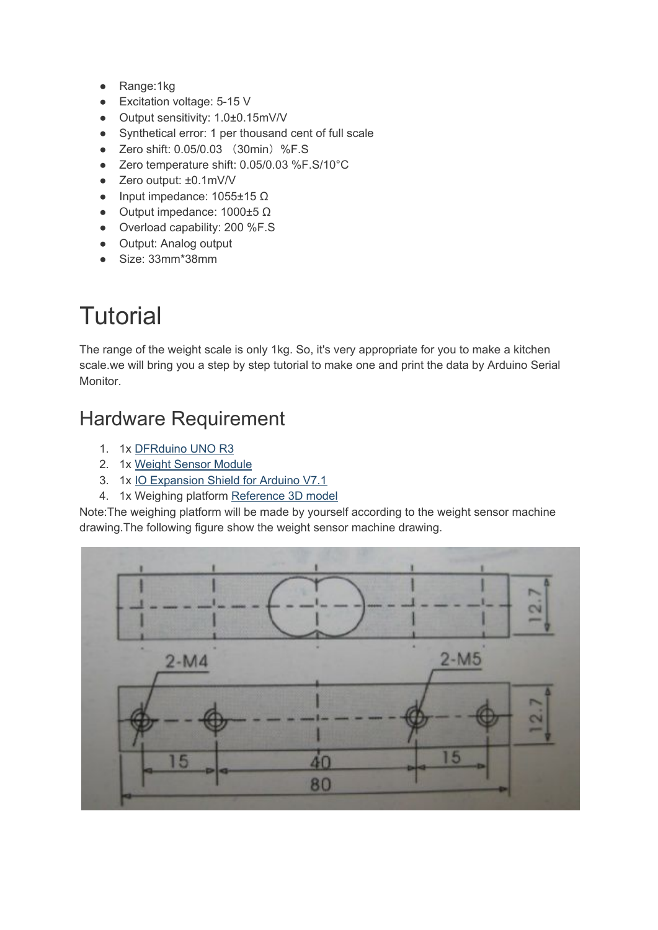- Range:1kg
- Excitation voltage: 5-15 V
- Output sensitivity: 1.0±0.15mV/V
- Synthetical error: 1 per thousand cent of full scale
- Zero shift: 0.05/0.03 (30min)%F.S
- Zero temperature shift: 0.05/0.03 %F.S/10°C
- Zero output: ±0.1mV/V
- Input impedance:  $1055±15$  Ω
- Output impedance: 1000±5 Ω
- Overload capability: 200 %F.S
- Output: Analog output
- Size: 33mm\*38mm

# **Tutorial**

The range of the weight scale is only 1kg. So, it's very appropriate for you to make a kitchen scale.we will bring you a step by step tutorial to make one and print the data by Arduino Serial Monitor.

### Hardware Requirement

- 1. 1x [DFRduino UNO R3](https://www.dfrobot.com/product-838.html)
- 2. 1x [Weight Sensor Module](https://www.dfrobot.com/product-1031.html)
- 3. 1x [IO Expansion Shield for Arduino V7.1](https://www.dfrobot.com/product-1009.html)
- 4. 1x Weighing platform [Reference 3D model](http://www.dfrobot.com/image/data/SEN0160/3D%20module%20design.rar)

Note:The weighing platform will be made by yourself according to the weight sensor machine drawing.The following figure show the weight sensor machine drawing.

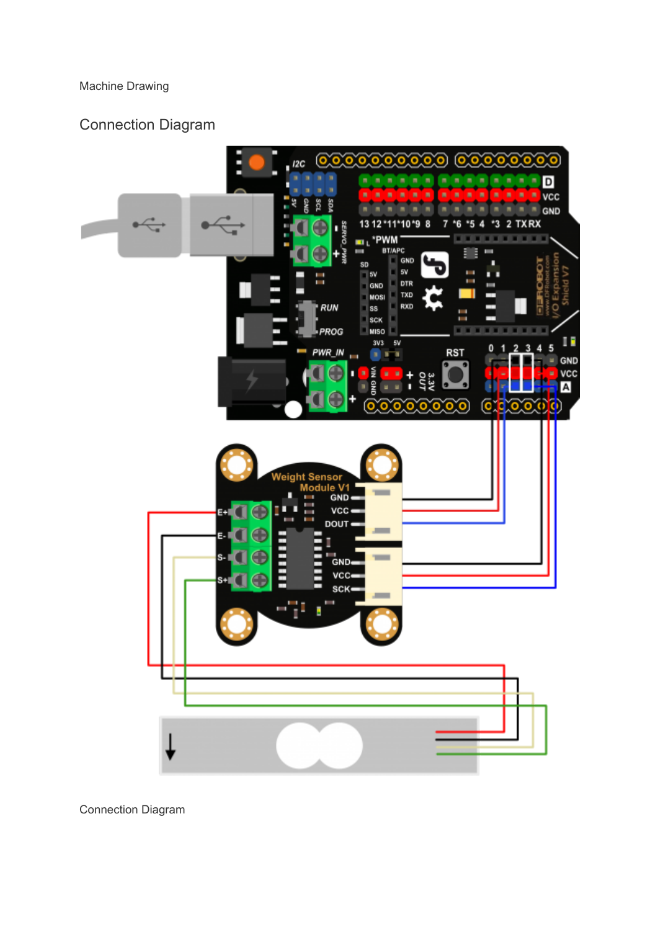Machine Drawing

#### Connection Diagram



Connection Diagram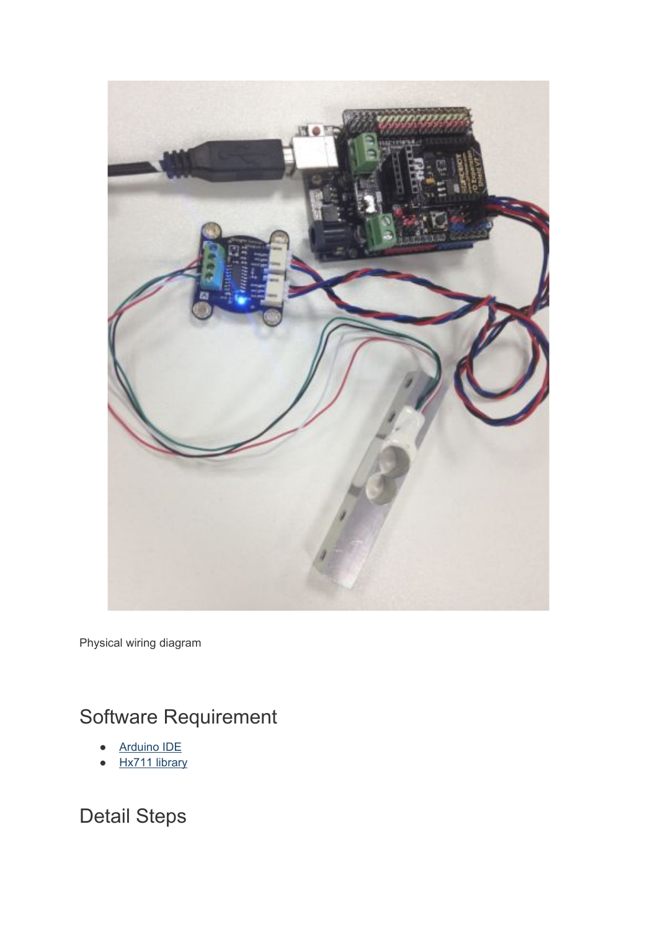

Physical wiring diagram

## Software Requirement

- **[Arduino IDE](http://arduino.cc/en/Main/Software)**
- [Hx711 library](http://www.dfrobot.com/image/data/SEN0160/Arduino%20sample%20code.zip)

Detail Steps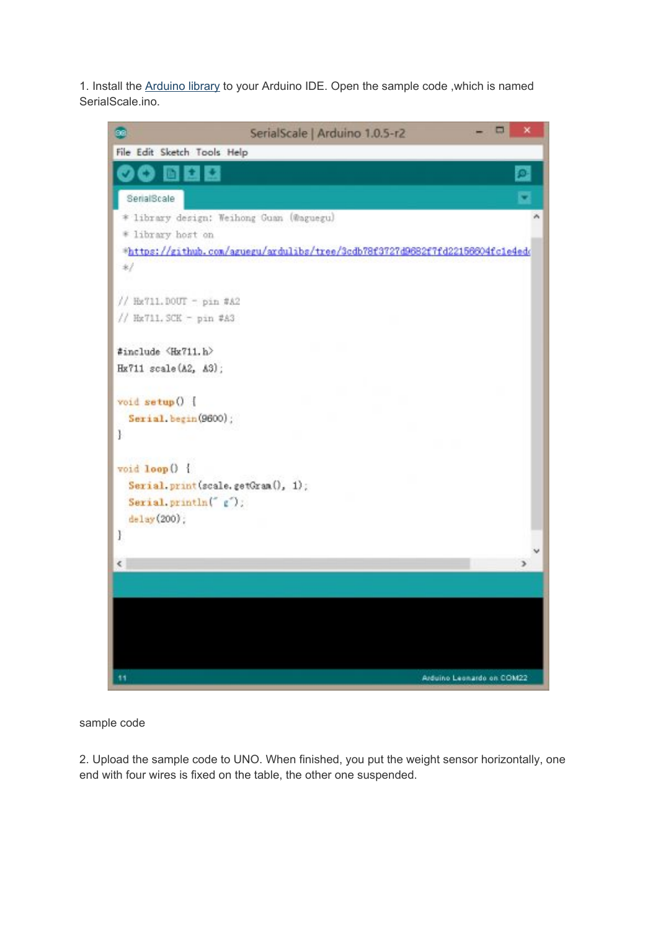1. Install the [Arduino library](http://www.dfrobot.com/image/data/SEN0160/Arduino%20sample%20code.zip) to your Arduino IDE. Open the sample code ,which is named SerialScale.ino.



sample code

2. Upload the sample code to UNO. When finished, you put the weight sensor horizontally, one end with four wires is fixed on the table, the other one suspended.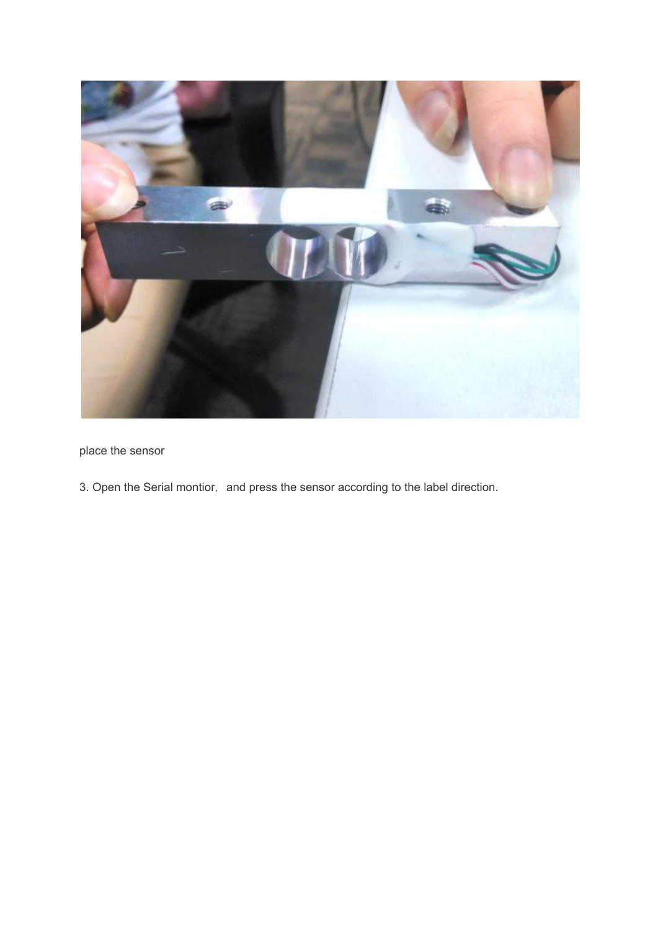

place the sensor

3. Open the Serial montior, and press the sensor according to the label direction.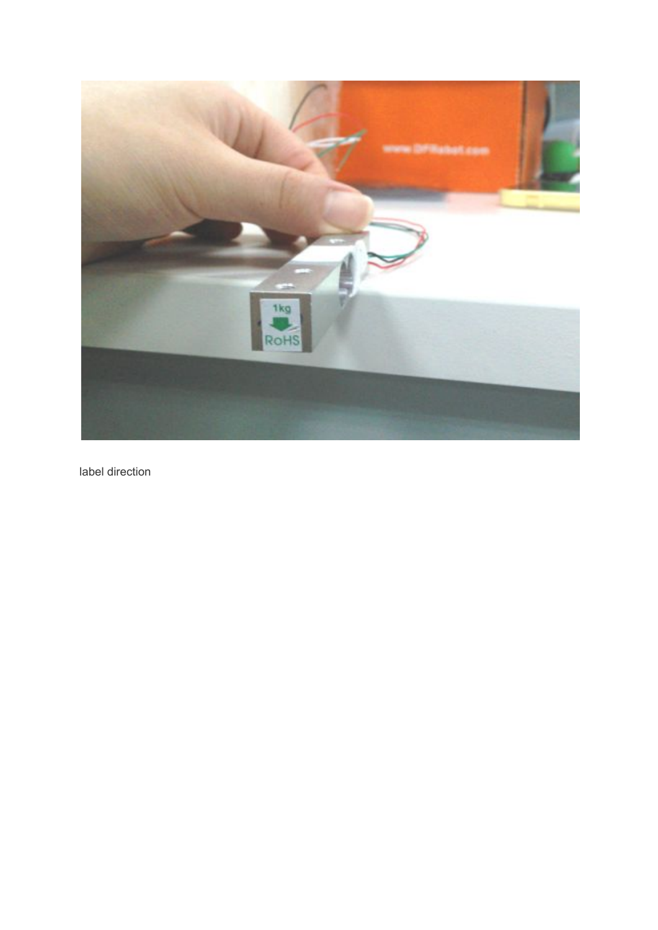

label direction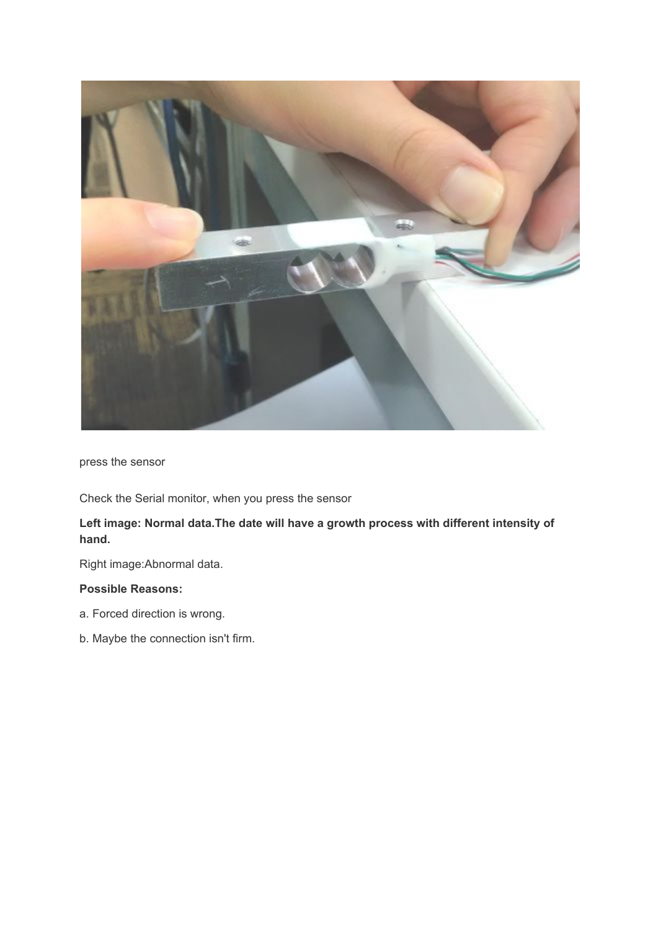

press the sensor

Check the Serial monitor, when you press the sensor

#### **Left image: Normal data.The date will have a growth process with different intensity of hand.**

Right image:Abnormal data.

#### **Possible Reasons:**

- a. Forced direction is wrong.
- b. Maybe the connection isn't firm.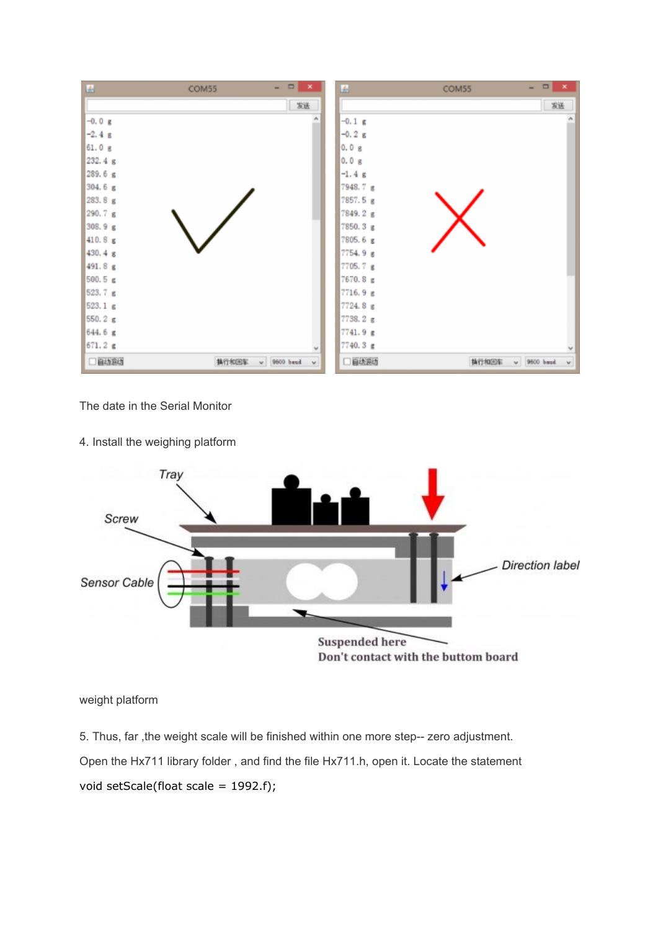

The date in the Serial Monitor

4. Install the weighing platform



weight platform

5. Thus, far ,the weight scale will be finished within one more step-- zero adjustment.

Open the Hx711 library folder , and find the file Hx711.h, open it. Locate the statement

void setScale(float scale = 1992.f);